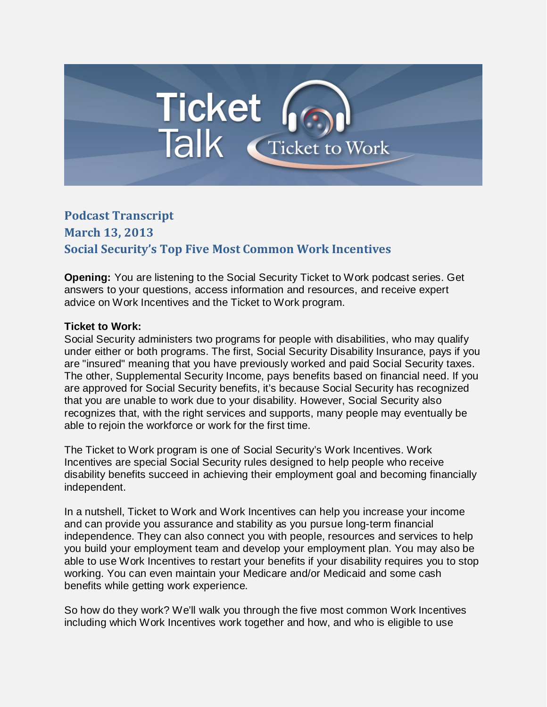## Ticket<br>Talk Cricket to Work

## **Podcast Transcript**

**March 13, 2013 Social Security's Top Five Most Common Work Incentives**

**Opening:** You are listening to the Social Security Ticket to Work podcast series. Get answers to your questions, access information and resources, and receive expert advice on Work Incentives and the Ticket to Work program.

## **Ticket to Work:**

Social Security administers two programs for people with disabilities, who may qualify under either or both programs. The first, Social Security Disability Insurance, pays if you are "insured" meaning that you have previously worked and paid Social Security taxes. The other, Supplemental Security Income, pays benefits based on financial need. If you are approved for Social Security benefits, it's because Social Security has recognized that you are unable to work due to your disability. However, Social Security also recognizes that, with the right services and supports, many people may eventually be able to rejoin the workforce or work for the first time.

The Ticket to Work program is one of Social Security's Work Incentives. Work Incentives are special Social Security rules designed to help people who receive disability benefits succeed in achieving their employment goal and becoming financially independent.

In a nutshell, Ticket to Work and Work Incentives can help you increase your income and can provide you assurance and stability as you pursue long-term financial independence. They can also connect you with people, resources and services to help you build your employment team and develop your employment plan. You may also be able to use Work Incentives to restart your benefits if your disability requires you to stop working. You can even maintain your Medicare and/or Medicaid and some cash benefits while getting work experience.

So how do they work? We'll walk you through the five most common Work Incentives including which Work Incentives work together and how, and who is eligible to use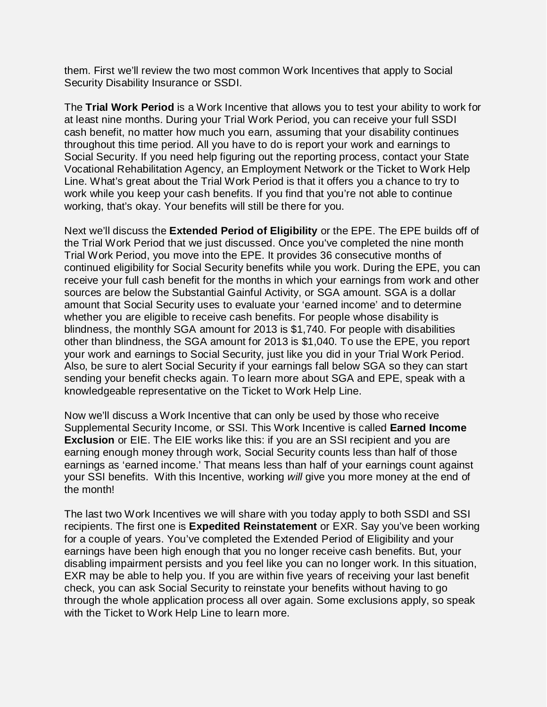them. First we'll review the two most common Work Incentives that apply to Social Security Disability Insurance or SSDI.

The **Trial Work Period** is a Work Incentive that allows you to test your ability to work for at least nine months. During your Trial Work Period, you can receive your full SSDI cash benefit, no matter how much you earn, assuming that your disability continues throughout this time period. All you have to do is report your work and earnings to Social Security. If you need help figuring out the reporting process, contact your State Vocational Rehabilitation Agency, an Employment Network or the Ticket to Work Help Line. What's great about the Trial Work Period is that it offers you a chance to try to work while you keep your cash benefits. If you find that you're not able to continue working, that's okay. Your benefits will still be there for you.

Next we'll discuss the **Extended Period of Eligibility** or the EPE. The EPE builds off of the Trial Work Period that we just discussed. Once you've completed the nine month Trial Work Period, you move into the EPE. It provides 36 consecutive months of continued eligibility for Social Security benefits while you work. During the EPE, you can receive your full cash benefit for the months in which your earnings from work and other sources are below the Substantial Gainful Activity, or SGA amount. SGA is a dollar amount that Social Security uses to evaluate your 'earned income' and to determine whether you are eligible to receive cash benefits. For people whose disability is blindness, the monthly SGA amount for 2013 is \$1,740. For people with disabilities other than blindness, the SGA amount for 2013 is \$1,040. To use the EPE, you report your work and earnings to Social Security, just like you did in your Trial Work Period. Also, be sure to alert Social Security if your earnings fall below SGA so they can start sending your benefit checks again. To learn more about SGA and EPE, speak with a knowledgeable representative on the Ticket to Work Help Line.

Now we'll discuss a Work Incentive that can only be used by those who receive Supplemental Security Income, or SSI. This Work Incentive is called **Earned Income Exclusion** or EIE. The EIE works like this: if you are an SSI recipient and you are earning enough money through work, Social Security counts less than half of those earnings as 'earned income.' That means less than half of your earnings count against your SSI benefits. With this Incentive, working *will* give you more money at the end of the month!

The last two Work Incentives we will share with you today apply to both SSDI and SSI recipients. The first one is **Expedited Reinstatement** or EXR. Say you've been working for a couple of years. You've completed the Extended Period of Eligibility and your earnings have been high enough that you no longer receive cash benefits. But, your disabling impairment persists and you feel like you can no longer work. In this situation, EXR may be able to help you. If you are within five years of receiving your last benefit check, you can ask Social Security to reinstate your benefits without having to go through the whole application process all over again. Some exclusions apply, so speak with the Ticket to Work Help Line to learn more.